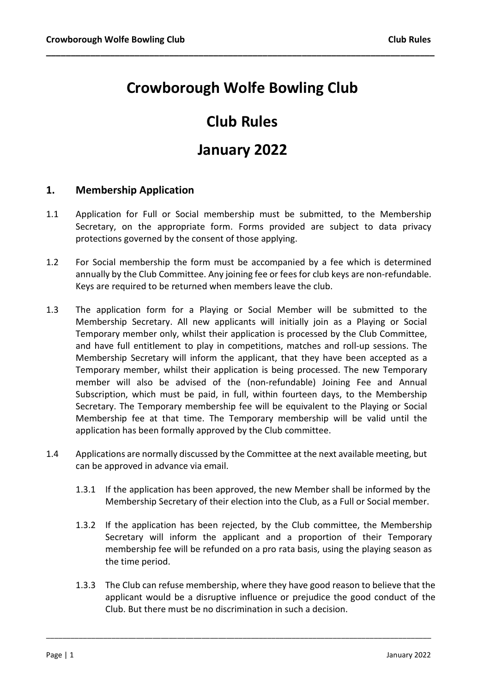# Crowborough Wolfe Bowling Club

\_\_\_\_\_\_\_\_\_\_\_\_\_\_\_\_\_\_\_\_\_\_\_\_\_\_\_\_\_\_\_\_\_\_\_\_\_\_\_\_\_\_\_\_\_\_\_\_\_\_\_\_\_\_\_\_\_\_\_\_\_\_\_\_\_\_\_\_\_\_\_\_\_\_\_\_\_\_\_

# Club Rules

## January 2022

## 1. Membership Application

- 1.1 Application for Full or Social membership must be submitted, to the Membership Secretary, on the appropriate form. Forms provided are subject to data privacy protections governed by the consent of those applying.
- 1.2 For Social membership the form must be accompanied by a fee which is determined annually by the Club Committee. Any joining fee or fees for club keys are non-refundable. Keys are required to be returned when members leave the club.
- 1.3 The application form for a Playing or Social Member will be submitted to the Membership Secretary. All new applicants will initially join as a Playing or Social Temporary member only, whilst their application is processed by the Club Committee, and have full entitlement to play in competitions, matches and roll-up sessions. The Membership Secretary will inform the applicant, that they have been accepted as a Temporary member, whilst their application is being processed. The new Temporary member will also be advised of the (non-refundable) Joining Fee and Annual Subscription, which must be paid, in full, within fourteen days, to the Membership Secretary. The Temporary membership fee will be equivalent to the Playing or Social Membership fee at that time. The Temporary membership will be valid until the application has been formally approved by the Club committee.
- 1.4 Applications are normally discussed by the Committee at the next available meeting, but can be approved in advance via email.
	- 1.3.1 If the application has been approved, the new Member shall be informed by the Membership Secretary of their election into the Club, as a Full or Social member.
	- 1.3.2 If the application has been rejected, by the Club committee, the Membership Secretary will inform the applicant and a proportion of their Temporary membership fee will be refunded on a pro rata basis, using the playing season as the time period.
	- 1.3.3 The Club can refuse membership, where they have good reason to believe that the applicant would be a disruptive influence or prejudice the good conduct of the Club. But there must be no discrimination in such a decision.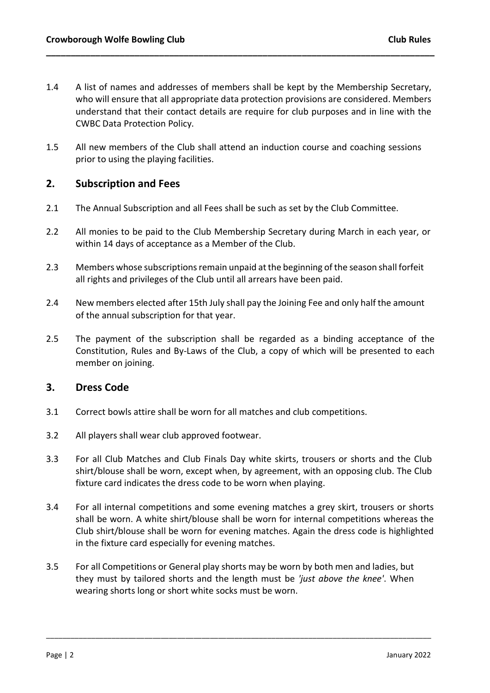1.4 A list of names and addresses of members shall be kept by the Membership Secretary, who will ensure that all appropriate data protection provisions are considered. Members understand that their contact details are require for club purposes and in line with the CWBC Data Protection Policy.

\_\_\_\_\_\_\_\_\_\_\_\_\_\_\_\_\_\_\_\_\_\_\_\_\_\_\_\_\_\_\_\_\_\_\_\_\_\_\_\_\_\_\_\_\_\_\_\_\_\_\_\_\_\_\_\_\_\_\_\_\_\_\_\_\_\_\_\_\_\_\_\_\_\_\_\_\_\_\_

1.5 All new members of the Club shall attend an induction course and coaching sessions prior to using the playing facilities.

## 2. Subscription and Fees

- 2.1 The Annual Subscription and all Fees shall be such as set by the Club Committee.
- 2.2 All monies to be paid to the Club Membership Secretary during March in each year, or within 14 days of acceptance as a Member of the Club.
- 2.3 Members whose subscriptions remain unpaid at the beginning of the season shall forfeit all rights and privileges of the Club until all arrears have been paid.
- 2.4 New members elected after 15th July shall pay the Joining Fee and only half the amount of the annual subscription for that year.
- 2.5 The payment of the subscription shall be regarded as a binding acceptance of the Constitution, Rules and By-Laws of the Club, a copy of which will be presented to each member on joining.

### 3. Dress Code

- 3.1 Correct bowls attire shall be worn for all matches and club competitions.
- 3.2 All players shall wear club approved footwear.
- 3.3 For all Club Matches and Club Finals Day white skirts, trousers or shorts and the Club shirt/blouse shall be worn, except when, by agreement, with an opposing club. The Club fixture card indicates the dress code to be worn when playing.
- 3.4 For all internal competitions and some evening matches a grey skirt, trousers or shorts shall be worn. A white shirt/blouse shall be worn for internal competitions whereas the Club shirt/blouse shall be worn for evening matches. Again the dress code is highlighted in the fixture card especially for evening matches.
- 3.5 For all Competitions or General play shorts may be worn by both men and ladies, but they must by tailored shorts and the length must be 'just above the knee'. When wearing shorts long or short white socks must be worn.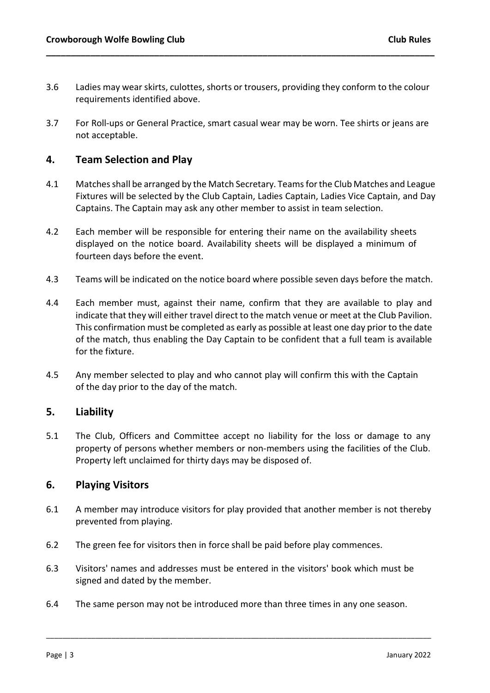3.6 Ladies may wear skirts, culottes, shorts or trousers, providing they conform to the colour requirements identified above.

\_\_\_\_\_\_\_\_\_\_\_\_\_\_\_\_\_\_\_\_\_\_\_\_\_\_\_\_\_\_\_\_\_\_\_\_\_\_\_\_\_\_\_\_\_\_\_\_\_\_\_\_\_\_\_\_\_\_\_\_\_\_\_\_\_\_\_\_\_\_\_\_\_\_\_\_\_\_\_

3.7 For Roll-ups or General Practice, smart casual wear may be worn. Tee shirts or jeans are not acceptable.

### 4. Team Selection and Play

- 4.1 Matches shall be arranged by the Match Secretary. Teams for the Club Matches and League Fixtures will be selected by the Club Captain, Ladies Captain, Ladies Vice Captain, and Day Captains. The Captain may ask any other member to assist in team selection.
- 4.2 Each member will be responsible for entering their name on the availability sheets displayed on the notice board. Availability sheets will be displayed a minimum of fourteen days before the event.
- 4.3 Teams will be indicated on the notice board where possible seven days before the match.
- 4.4 Each member must, against their name, confirm that they are available to play and indicate that they will either travel direct to the match venue or meet at the Club Pavilion. This confirmation must be completed as early as possible at least one day prior to the date of the match, thus enabling the Day Captain to be confident that a full team is available for the fixture.
- 4.5 Any member selected to play and who cannot play will confirm this with the Captain of the day prior to the day of the match.

### 5. Liability

5.1 The Club, Officers and Committee accept no liability for the loss or damage to any property of persons whether members or non-members using the facilities of the Club. Property left unclaimed for thirty days may be disposed of.

### 6. Playing Visitors

- 6.1 A member may introduce visitors for play provided that another member is not thereby prevented from playing.
- 6.2 The green fee for visitors then in force shall be paid before play commences.
- 6.3 Visitors' names and addresses must be entered in the visitors' book which must be signed and dated by the member.
- 6.4 The same person may not be introduced more than three times in any one season.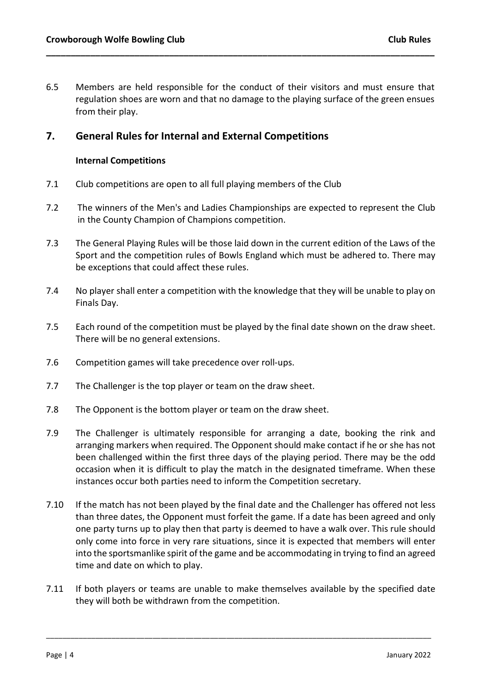6.5 Members are held responsible for the conduct of their visitors and must ensure that regulation shoes are worn and that no damage to the playing surface of the green ensues from their play.

\_\_\_\_\_\_\_\_\_\_\_\_\_\_\_\_\_\_\_\_\_\_\_\_\_\_\_\_\_\_\_\_\_\_\_\_\_\_\_\_\_\_\_\_\_\_\_\_\_\_\_\_\_\_\_\_\_\_\_\_\_\_\_\_\_\_\_\_\_\_\_\_\_\_\_\_\_\_\_

### 7. General Rules for Internal and External Competitions

#### Internal Competitions

- 7.1 Club competitions are open to all full playing members of the Club
- 7.2 The winners of the Men's and Ladies Championships are expected to represent the Club in the County Champion of Champions competition.
- 7.3 The General Playing Rules will be those laid down in the current edition of the Laws of the Sport and the competition rules of Bowls England which must be adhered to. There may be exceptions that could affect these rules.
- 7.4 No player shall enter a competition with the knowledge that they will be unable to play on Finals Day.
- 7.5 Each round of the competition must be played by the final date shown on the draw sheet. There will be no general extensions.
- 7.6 Competition games will take precedence over roll-ups.
- 7.7 The Challenger is the top player or team on the draw sheet.
- 7.8 The Opponent is the bottom player or team on the draw sheet.
- 7.9 The Challenger is ultimately responsible for arranging a date, booking the rink and arranging markers when required. The Opponent should make contact if he or she has not been challenged within the first three days of the playing period. There may be the odd occasion when it is difficult to play the match in the designated timeframe. When these instances occur both parties need to inform the Competition secretary.
- 7.10 If the match has not been played by the final date and the Challenger has offered not less than three dates, the Opponent must forfeit the game. If a date has been agreed and only one party turns up to play then that party is deemed to have a walk over. This rule should only come into force in very rare situations, since it is expected that members will enter into the sportsmanlike spirit of the game and be accommodating in trying to find an agreed time and date on which to play.
- 7.11 If both players or teams are unable to make themselves available by the specified date they will both be withdrawn from the competition.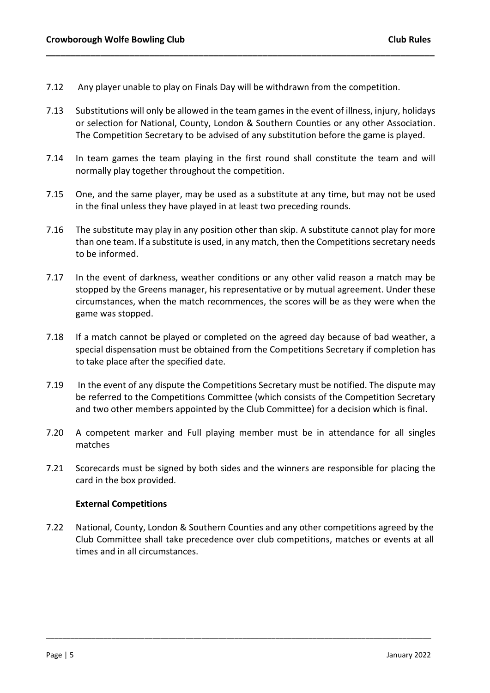- 7.12 Any player unable to play on Finals Day will be withdrawn from the competition.
- 7.13 Substitutions will only be allowed in the team games in the event of illness, injury, holidays or selection for National, County, London & Southern Counties or any other Association. The Competition Secretary to be advised of any substitution before the game is played.

\_\_\_\_\_\_\_\_\_\_\_\_\_\_\_\_\_\_\_\_\_\_\_\_\_\_\_\_\_\_\_\_\_\_\_\_\_\_\_\_\_\_\_\_\_\_\_\_\_\_\_\_\_\_\_\_\_\_\_\_\_\_\_\_\_\_\_\_\_\_\_\_\_\_\_\_\_\_\_

- 7.14 In team games the team playing in the first round shall constitute the team and will normally play together throughout the competition.
- 7.15 One, and the same player, may be used as a substitute at any time, but may not be used in the final unless they have played in at least two preceding rounds.
- 7.16 The substitute may play in any position other than skip. A substitute cannot play for more than one team. If a substitute is used, in any match, then the Competitions secretary needs to be informed.
- 7.17 In the event of darkness, weather conditions or any other valid reason a match may be stopped by the Greens manager, his representative or by mutual agreement. Under these circumstances, when the match recommences, the scores will be as they were when the game was stopped.
- 7.18 If a match cannot be played or completed on the agreed day because of bad weather, a special dispensation must be obtained from the Competitions Secretary if completion has to take place after the specified date.
- 7.19 In the event of any dispute the Competitions Secretary must be notified. The dispute may be referred to the Competitions Committee (which consists of the Competition Secretary and two other members appointed by the Club Committee) for a decision which is final.
- 7.20 A competent marker and Full playing member must be in attendance for all singles matches
- 7.21 Scorecards must be signed by both sides and the winners are responsible for placing the card in the box provided.

#### External Competitions

7.22 National, County, London & Southern Counties and any other competitions agreed by the Club Committee shall take precedence over club competitions, matches or events at all times and in all circumstances.